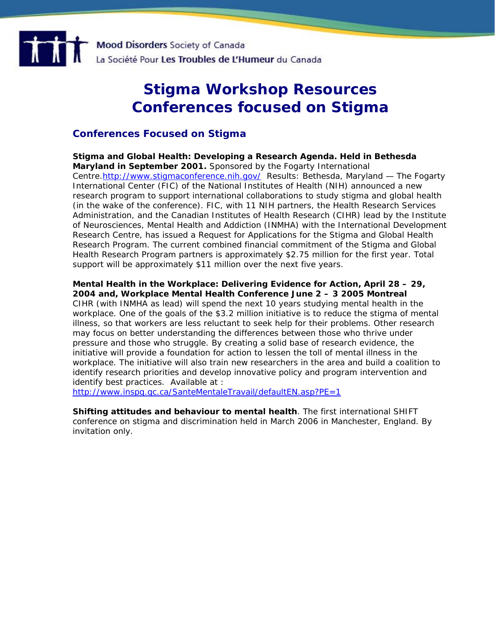

## **Stigma Workshop Resources Conferences focused on Stigma**

## **Conferences Focused on Stigma**

**Stigma and Global Health: Developing a Research Agenda. Held in Bethesda Maryland in September 2001.** Sponsored by the Fogarty International Centre[.http://www.stigmaconference.nih.gov/](http://www.stigmaconference.nih.gov/) Results: Bethesda, Maryland — The Fogarty International Center (FIC) of the National Institutes of Health (NIH) *announced a new research program to support international collaborations to study stigma and global health (in the wake of the conference).* FIC, with 11 NIH partners, the Health Research Services Administration, and the Canadian Institutes of Health Research (CIHR) lead by the Institute of Neurosciences, Mental Health and Addiction (INMHA) with the International Development Research Centre, has issued a Request for Applications for the Stigma and Global Health Research Program. The current combined financial commitment of the Stigma and Global Health Research Program partners is approximately \$2.75 million for the first year. Total support will be approximately \$11 million over the next five years.

**Mental Health in the Workplace: Delivering Evidence for Action, April 28 – 29, 2004 and, Workplace Mental Health Conference June 2 – 3 2005 Montreal** CIHR (with INMHA as lead) will spend the next 10 years studying mental health in the workplace. One of the goals of the \$3.2 million initiative is to reduce the *stigma* of mental illness, so that workers are less reluctant to seek help for their problems. Other research may focus on better understanding the differences between those who thrive under pressure and those who struggle. By creating a solid base of research evidence, the initiative will provide a foundation for action to lessen the toll of mental illness in the workplace. The initiative will also train new researchers in the area and build a coalition to identify research priorities and develop innovative policy and program intervention and identify best practices. Available at :

<http://www.inspq.qc.ca/SanteMentaleTravail/defaultEN.asp?PE=1>

**Shifting attitudes and behaviour to mental health**. The first international SHIFT conference on stigma and discrimination held in March 2006 in Manchester, England. By invitation only.